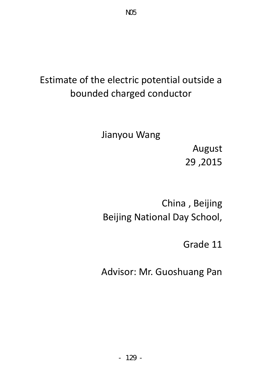# Estimate of the electric potential outside a bounded charged conductor

Jianyou Wang

 August 29 ,2015

China , Beijing Beijing National Day School,

Grade 11

Advisor: Mr. Guoshuang Pan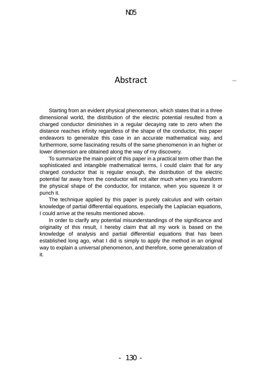### Abstract

 Starting from an evident physical phenomenon, which states that in a three dimensional world, the distribution of the electric potential resulted from a charged conductor diminishes in a regular decaying rate to zero when the distance reaches infinity regardless of the shape of the conductor, this paper endeavors to generalize this case in an accurate mathematical way, and furthermore, some fascinating results of the same phenomenon in an higher or lower dimension are obtained along the way of my discovery.

 To summarize the main point of this paper in a practical term other than the sophisticated and intangible mathematical terms, I could claim that for any charged conductor that is regular enough, the distribution of the electric potential far away from the conductor will not alter much when you transform the physical shape of the conductor, for instance, when you squeeze it or punch it.

 The technique applied by this paper is purely calculus and with certain knowledge of partial differential equations, especially the Laplacian equations, I could arrive at the results mentioned above.

 In order to clarify any potential misunderstandings of the significance and originality of this result, I hereby claim that all my work is based on the knowledge of analysis and partial differential equations that has been established long ago, what I did is simply to apply the method in an original way to explain a universal phenomenon, and therefore, some generalization of it.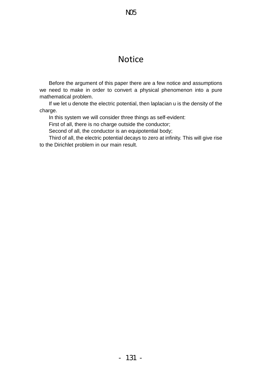N05

 Before the argument of this paper there are a few notice and assumptions we need to make in order to convert a physical phenomenon into a pure mathematical problem.

 If we let u denote the electric potential, then laplacian u is the density of the charge.

In this system we will consider three things as self-evident:

First of all, there is no charge outside the conductor;

Second of all, the conductor is an equipotential body;

 Third of all, the electric potential decays to zero at infinity. This will give rise to the Dirichlet problem in our main result.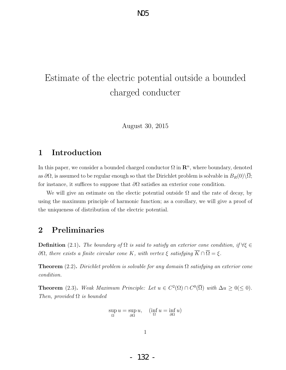## Estimate of the electric potential outside a bounded charged conducter

August 30, 2015

#### **1 Introduction**

In this paper, we consider a bounded charged conductor  $\Omega$  in  $\mathbb{R}^n$ , where boundary, denoted as  $\partial\Omega$ , is assumed to be regular enough so that the Dirichlet problem is solvable in  $B_R(0)\setminus\Omega$ ; for instance, it suffices to suppose that *∂*Ω satisfies an exterior cone condition.

We will give an estimate on the electic potential outside  $\Omega$  and the rate of decay, by using the maximum principle of harmonic function; as a corollary, we will give a proof of the uniqueness of distribution of the electric potential.

#### **2 Preliminaries**

**Definition** (2.1). The boundary of  $\Omega$  is said to satisfy an exterior cone condition, if  $\forall \xi \in$ *∂*Ω*, there exists a finite circular cone K, with vertex*  $\xi$  *satisfying*  $\overline{K} ∩ \overline{\Omega} = \xi$ *.* 

**Theorem** (2.2)**.** *Dirichlet problem is solvable for any domain* Ω *satisfying an exterior cone condition.*

**Theorem** (2.3). *Weak Maximum Principle: Let*  $u \in C^2(\Omega) \cap C^0(\overline{\Omega})$  *with*  $\Delta u \geq 0 \leq 0$ . *Then, provided* Ω *is bounded*

$$
\sup_{\Omega} u = \sup_{\partial \Omega} u, \quad (\inf_{\Omega} u = \inf_{\partial \Omega} u)
$$

- 132 -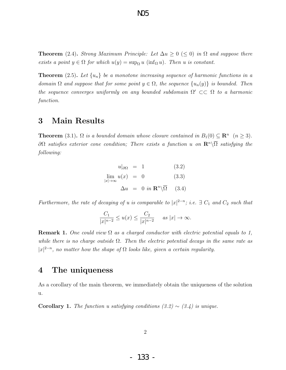**Theorem** (2.4). *Strong Maximum Principle: Let*  $\Delta u \geq 0$  ( $\leq 0$ ) *in*  $\Omega$  *and suppose there exists a point*  $y \in \Omega$  *for which*  $u(y) = \sup_{\Omega} u$  (inf<sub> $\Omega$ </sub> *u*)*. Then u is constant.* 

N05

**Theorem** (2.5)**.** *Let {un} be a monotone increasing sequence of harmonic functions in a domain*  $\Omega$  *and suppose that for some point*  $y \in \Omega$ *, the sequence*  $\{u_n(y)\}$  *is bounded. Then the sequence converges uniformly on any bounded subdomain* Ω *′ ⊂⊂* Ω *to a harmonic function.*

#### **3 Main Results**

**Theorem** (3.1)**.**  $\Omega$  *is a bounded domain whose closure contained in*  $B_1(0) \subseteq \mathbb{R}^n$  ( $n \geq 3$ ). *∂*Ω *satisfies exterior cone condition; There exists a function u on* **R***<sup>n</sup>\*Ω *satisfying the following:*

$$
u|_{\partial\Omega} = 1 \qquad (3.2)
$$
  
\n
$$
\lim_{|x| \to \infty} u(x) = 0 \qquad (3.3)
$$
  
\n
$$
\Delta u = 0 \text{ in } \mathbb{R}^n \setminus \overline{\Omega} \qquad (3.4)
$$

*Furthermore, the rate of decaying of u is comparable to*  $|x|^{2-n}$ ; *i.e.*  $\exists C_1$  *and*  $C_2$  *such that* 

$$
\frac{C_1}{|x|^{n-2}} \le u(x) \le \frac{C_2}{|x|^{n-2}} \quad \text{as } |x| \to \infty.
$$

**Remark 1.** *One could view* Ω *as a charged conductor with electric potential equals to 1, while there is no charge outside* Ω*. Then the electric potential decays in the same rate as*  $|x|^{2-n}$ , no matter how the shape of  $\Omega$  looks like, given a certain regularity.

#### **4 The uniqueness**

As a corollary of the main theorem, we immediately obtain the uniqueness of the solution u.

**Corollary 1.** *The function u satisfying conditions*  $(3.2) \sim (3.4)$  *is unique.*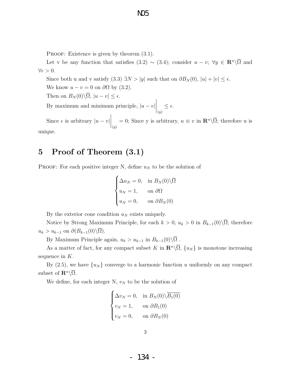N05

PROOF: Existence is given by theorem  $(3.1)$ .

Let v be any function that satisfies (3.2)  $\sim$  (3.4); consider  $u - v$ ;  $\forall y \in \mathbb{R}^n \setminus \overline{\Omega}$  and  $∀*ε* > 0.$ 

Since both u and v satisfy  $(3.3) \exists N > |y|$  such that on  $\partial B_N(0)$ ,  $|u| + |v| \leq \epsilon$ .

We know  $u - v = 0$  on  $\partial\Omega$  by (3.2).

Then on  $B_N(0)\setminus\overline{\Omega}$ ,  $|u-v|\leq\epsilon$ .

By maximum and minimum principle,  $|u - v|$  $\Big|_{(y)}$ *≤ ϵ.*

Since  $\epsilon$  is arbitrary  $|u - v|$  $\Big|_{(y)}$  $= 0$ ; Since y is arbitrary,  $u \equiv v$  in  $\mathbb{R}^n \setminus \overline{\Omega}$ ; therefore u is

unique.

#### **5 Proof of Theorem (3.1)**

**PROOF:** For each positive integer N, define  $u_N$  to be the solution of

$$
\begin{cases} \Delta u_N = 0, & \text{in } B_N(0) \backslash \overline{\Omega} \\ u_N = 1, & \text{on } \partial \Omega \\ u_N = 0, & \text{on } \partial B_N(0) \end{cases}
$$

By the exterior cone condition  $u_N$  exists uniquely.

Notice by Strong Maximum Principle, for each  $k > 0$ ,  $u_k > 0$  in  $B_{k-1}(0) \setminus \overline{\Omega}$ , therefore  $u_k > u_{k-1}$  on  $\partial(B_{k-1}(0)\setminus\overline{\Omega})$ .

By Maximum Principle again,  $u_k > u_{k-1}$  in  $B_{k-1}(0) \backslash \overline{\Omega}$ .

As a matter of fact, for any compact subset *K* in  $\mathbb{R}^n \setminus \overline{\Omega}$ ,  $\{u_N\}$  is monotone increasing sequence in *K*.

By  $(2.5)$ , we have  $\{u_N\}$  converge to a harmonic function *u* uniformly on any compact subset of  $\mathbf{R}^n \backslash \overline{\Omega}$ .

We define, for each integer  $N$ ,  $v_N$  to be the solution of

$$
\begin{cases}\n\Delta v_N = 0, & \text{in } B_N(0) \setminus \overline{B_1(0)} \\
v_N = 1, & \text{on } \partial B_1(0) \\
v_N = 0, & \text{on } \partial B_N(0)\n\end{cases}
$$

- 134 -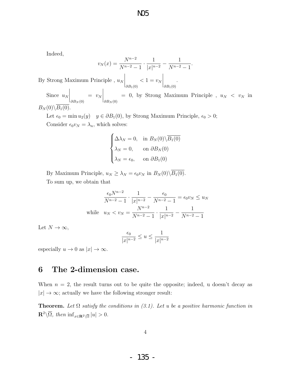Indeed,

$$
v_N(x) = \frac{N^{n-2}}{N^{n-2} - 1} \cdot \frac{1}{|x|^{n-2}} - \frac{1}{N^{n-2} - 1}
$$

*.*

By Strong Maximum Principle , *u<sup>N</sup> ∂B*1(0)  $< 1 = v_N$  *∂B*1(0) *.* Since *u<sup>N</sup>*  $\bigg|_{\partial B_N(0)}$  $= v_N$  $\bigg|_{\partial B_N(0)}$  $= 0$ , by Strong Maximum Principle,  $u_N < v_N$  in

 $B_N(0) \setminus \overline{B_1(0)}$ 

Let  $\epsilon_0 = \min u_2(y)$  *y*  $\in \partial B_1(0)$ , by Strong Maximum Principle,  $\epsilon_0 > 0$ ; Consider  $\epsilon_0 v_N = \lambda_n$ , which solves:

$$
\begin{cases} \Delta \lambda_N = 0, & \text{in } B_N(0) \backslash \overline{B_1(0)} \\ \lambda_N = 0, & \text{on } \partial B_N(0) \\ \lambda_N = \epsilon_0, & \text{on } \partial B_1(0) \end{cases}
$$

By Maximum Principle,  $u_N \geq \lambda_N = \epsilon_0 v_N$  in  $B_N(0) \setminus \overline{B_1(0)}$ . To sum up, we obtain that

$$
\frac{\epsilon_0 N^{n-2}}{N^{n-2} - 1} \cdot \frac{1}{|x|^{n-2}} - \frac{\epsilon_0}{N^{n-2} - 1} = \epsilon_0 v_N \le u_N
$$
  
while  $u_N < v_N = \frac{N^{n-2}}{N^{n-2} - 1} \cdot \frac{1}{|x|^{n-2}} - \frac{1}{N^{n-2} - 1}$ 

Let  $N \to \infty$ ,

$$
\frac{\epsilon_0}{|x|^{n-2}} \le u \le \frac{1}{|x|^{n-2}}
$$

especially  $u \to 0$  as  $|x| \to \infty$ .

#### **6 The 2-dimension case.**

When  $n = 2$ , the result turns out to be quite the opposite; indeed, u doesn't decay as  $|x| \to \infty$ ; actually we have the following stronger result:

**Theorem.** Let  $\Omega$  *satisfy the conditions in (3.1).* Let u be a positive harmonic function in  $\mathbb{R}^2 \setminus \overline{\Omega}$ , then  $\inf_{x \in \mathbb{R}^2 \setminus \overline{\Omega}} |u| > 0$ .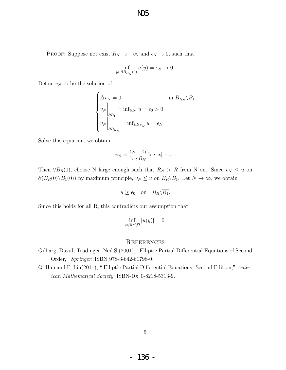N05

PROOF: Suppose not exist  $R_N \to +\infty$  and  $\epsilon_N \to 0$ , such that

$$
\inf_{y \in \partial B_{R_N}(0)} u(y) = \epsilon_N \to 0.
$$

Define  $v_N$  to be the solution of

$$
\begin{cases}\n\Delta v_N = 0, & \text{in } B_{R_N} \setminus \overline{B_1} \\
v_N \Big|_{\partial B_1} = \inf_{\partial B_1} u = \epsilon_0 > 0 \\
v_N \Big|_{\partial B_{R_N}} = \inf_{\partial B_{R_N}} u = \epsilon_N\n\end{cases}
$$

Solve this equation, we obtain

$$
v_N = \frac{\epsilon_N - \epsilon_1}{\log R_N} \log |x| + \epsilon_0.
$$

Then  $\forall B_R(0)$ , choose N large enough such that  $R_N > R$  from N on. Since  $v_N \leq u$  on *∂*(*B<sub>R</sub>*(0) $\setminus \overline{B_1(0)}$  by maximum principle, *v<sub>N</sub>* ≤ *u* on *B<sub>R</sub>* $\setminus \overline{B_1}$ . Let *N* → ∞, we obtain

$$
u \ge \epsilon_0
$$
 on  $B_R \setminus \overline{B_1}$ .

Since this holds for all R, this contradicts our assumption that

$$
\inf_{y \in \mathbf{R}^n \setminus \overline{\Omega}} |u(y)| = 0.
$$

#### **REFERENCES**

- Gilbarg, David, Trudinger, Neil S.(2001), "Elliptic Partial Differential Equations of Second Order," *Springer*, ISBN 978-3-642-61798-0.
- Q. Han and F. Lin(2011), " Elliptic Partial Differential Equations: Second Edition," *American Mathematical Society*, ISBN-10: 0-8218-5313-9.